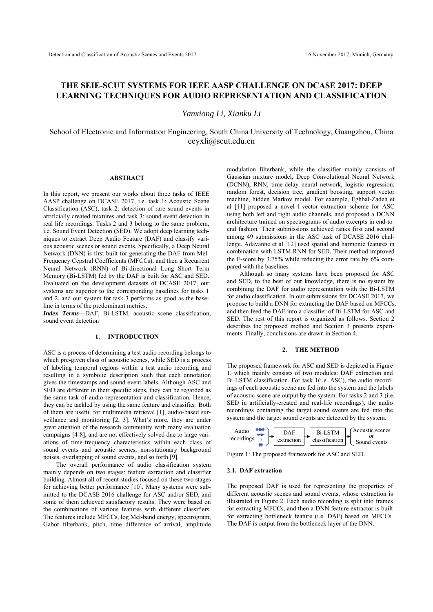# **THE SEIE-SCUT SYSTEMS FOR IEEE AASP CHALLENGE ON DCASE 2017: DEEP LEARNING TECHNIQUES FOR AUDIO REPRESENTATION AND CLASSIFICATION**

*Yanxiong Li, Xianku Li* 

School of Electronic and Information Engineering, South China University of Technology, Guangzhou, China eeyxli@scut.edu.cn

# **ABSTRACT**

In this report, we present our works about three tasks of IEEE AASP challenge on DCASE 2017, i.e. task 1: Acoustic Scene Classification (ASC), task 2: detection of rare sound events in artificially created mixtures and task 3: sound event detection in real life recordings. Tasks 2 and 3 belong to the same problem, i.e. Sound Event Detection (SED). We adopt deep learning techniques to extract Deep Audio Feature (DAF) and classify various acoustic scenes or sound events. Specifically, a Deep Neural Network (DNN) is first built for generating the DAF from Mel-Frequency Cepstral Coefficients (MFCCs), and then a Recurrent Neural Network (RNN) of Bi-directional Long Short Term Memory (Bi-LSTM) fed by the DAF is built for ASC and SED. Evaluated on the development datasets of DCASE 2017, our systems are superior to the corresponding baselines for tasks 1 and 2, and our system for task 3 performs as good as the baseline in terms of the predominant metrics.

*Index Terms—*DAF, Bi-LSTM, acoustic scene classification, sound event detection

#### **1. INTRODUCTION**

ASC is a process of determining a test audio recording belongs to which pre-given class of acoustic scenes, while SED is a process of labeling temporal regions within a test audio recording and resulting in a symbolic description such that each annotation gives the timestamps and sound event labels. Although ASC and SED are different in their specific steps, they can be regarded as the same task of audio representation and classification. Hence, they can be tackled by using the same feature and classifier. Both of them are useful for multimedia retrieval [1], audio-based surveillance and monitoring [2, 3]. What's more, they are under great attention of the research community with many evaluation campaigns [4-8], and are not effectively solved due to large variations of time-frequency characteristics within each class of sound events and acoustic scenes, non-stationary background noises, overlapping of sound events, and so forth [9].

 The overall performance of audio classification system mainly depends on two stages: feature extraction and classifier building. Almost all of recent studies focused on these two stages for achieving better performance [10]. Many systems were submitted to the DCASE 2016 challenge for ASC and/or SED, and some of them achieved satisfactory results. They were based on the combinations of various features with different classifiers. The features include MFCCs, log Mel-band energy, spectrogram, Gabor filterbank, pitch, time difference of arrival, amplitude modulation filterbank, while the classifier mainly consists of Gaussian mixture model, Deep Convolutional Neural Network (DCNN), RNN, time-delay neural network, logistic regression, random forest, decision tree, gradient boosting, support vector machine, hidden Markov model. For example, Eghbal-Zadeh et al [11] proposed a novel I-vector extraction scheme for ASC using both left and right audio channels, and proposed a DCNN architecture trained on spectrograms of audio excerpts in end-toend fashion. Their submissions achieved ranks first and second among 49 submissions in the ASC task of DCASE 2016 challenge. Adavanne et al [12] used spatial and harmonic features in combination with LSTM RNN for SED. Their method improved the F-score by 3.75% while reducing the error rate by 6% compared with the baselines.

 Although so many systems have been proposed for ASC and SED, to the best of our knowledge, there is no system by combining the DAF for audio representation with the Bi-LSTM for audio classification. In our submissions for DCASE 2017, we propose to build a DNN for extracting the DAF based on MFCCs, and then feed the DAF into a classifier of Bi-LSTM for ASC and SED. The rest of this report is organized as follows. Section 2 describes the proposed method and Section 3 presents experiments. Finally, conclusions are drawn in Section 4.

#### **2. THE METHOD**

The proposed framework for ASC and SED is depicted in Figure 1, which mainly consists of two modules: DAF extraction and Bi-LSTM classification. For task 1(i.e. ASC), the audio recordings of each acoustic scene are fed into the system and the labels of acoustic scene are output by the system. For tasks 2 and 3 (i.e. SED in artificially-created and real-life recordings), the audio recordings containing the target sound events are fed into the system and the target sound events are detected by the system.



Figure 1: The proposed framework for ASC and SED.

#### **2.1. DAF extraction**

The proposed DAF is used for representing the properties of different acoustic scenes and sound events, whose extraction is illustrated in Figure 2. Each audio recording is split into frames for extracting MFCCs, and then a DNN feature extractor is built for extracting bottleneck feature (i.e. DAF) based on MFCCs. The DAF is output from the bottleneck layer of the DNN.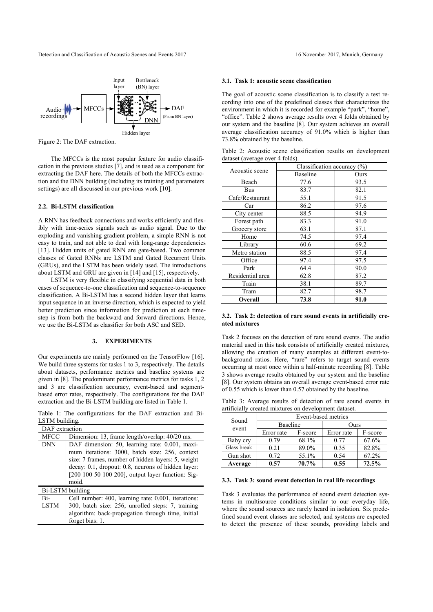Detection and Classification of Acoustic Scenes and Events 2017 16 November 2017, Munich, Germany



Figure 2: The DAF extraction.

The MFCCs is the most popular feature for audio classification in the previous studies [7], and is used as a component for extracting the DAF here. The details of both the MFCCs extraction and the DNN building (including its training and parameters settings) are all discussed in our previous work [10].

# **2.2. Bi-LSTM classification**

A RNN has feedback connections and works efficiently and flexibly with time-series signals such as audio signal. Due to the exploding and vanishing gradient problem, a simple RNN is not easy to train, and not able to deal with long-range dependencies [13]. Hidden units of gated RNN are gate-based. Two common classes of Gated RNNs are LSTM and Gated Recurrent Units (GRUs), and the LSTM has been widely used. The introductions about LSTM and GRU are given in [14] and [15], respectively.

LSTM is very flexible in classifying sequential data in both cases of sequence-to-one classification and sequence-to-sequence classification. A Bi-LSTM has a second hidden layer that learns input sequence in an inverse direction, which is expected to yield better prediction since information for prediction at each timestep is from both the backward and forward directions. Hence, we use the Bi-LSTM as classifier for both ASC and SED.

#### **3. EXPERIMENTS**

Our experiments are mainly performed on the TensorFlow [16]. We build three systems for tasks 1 to 3, respectively. The details about datasets, performance metrics and baseline systems are given in [8]. The predominant performance metrics for tasks 1, 2 and 3 are classification accuracy, event-based and segmentbased error rates, respectively. The configurations for the DAF extraction and the Bi-LSTM building are listed in Table 1.

Table 1: The configurations for the DAF extraction and Bi-LSTM building.

| DAF extraction     |                                                                                                                                                                                                                                                                            |  |  |  |
|--------------------|----------------------------------------------------------------------------------------------------------------------------------------------------------------------------------------------------------------------------------------------------------------------------|--|--|--|
| <b>MFCC</b>        | Dimension: 13, frame length/overlap: 40/20 ms.                                                                                                                                                                                                                             |  |  |  |
| <b>DNN</b>         | DAF dimension: 50, learning rate: 0.001, maxi-<br>mum iterations: 3000, batch size: 256, context<br>size: 7 frames, number of hidden layers: 5, weight<br>decay: 0.1, dropout: 0.8, neurons of hidden layer:<br>[200 100 50 100 200], output layer function: Sig-<br>moid. |  |  |  |
| Bi-LSTM building   |                                                                                                                                                                                                                                                                            |  |  |  |
| Bi-<br><b>LSTM</b> | Cell number: 400, learning rate: 0.001, iterations:<br>300, batch size: 256, unrolled steps: 7, training<br>algorithm: back-propagation through time, initial<br>forget bias: 1.                                                                                           |  |  |  |
|                    |                                                                                                                                                                                                                                                                            |  |  |  |

#### **3.1. Task 1: acoustic scene classification**

The goal of acoustic scene classification is to classify a test recording into one of the predefined classes that characterizes the environment in which it is recorded for example "park", "home", "office". Table 2 shows average results over 4 folds obtained by our system and the baseline [8]. Our system achieves an overall average classification accuracy of 91.0% which is higher than 73.8% obtained by the baseline.

Table 2: Acoustic scene classification results on development dataset (average over 4 folds).

| Acoustic scene   | Classification accuracy $(\%)$ |      |  |  |
|------------------|--------------------------------|------|--|--|
|                  | Baseline                       | Ours |  |  |
| Beach            | 77.6                           | 93.5 |  |  |
| Bus              | 83.7                           | 82.1 |  |  |
| Cafe/Restaurant  | 55.1                           | 91.5 |  |  |
| Car              | 86.2                           | 97.6 |  |  |
| City center      | 88.5                           | 94.9 |  |  |
| Forest path      | 83.3                           | 91.0 |  |  |
| Grocery store    | 63.1                           | 87.1 |  |  |
| Home             | 74.5                           | 97.4 |  |  |
| Library          | 60.6                           | 69.2 |  |  |
| Metro station    | 88.5                           | 97.4 |  |  |
| Office           | 97.4                           | 97.5 |  |  |
| Park             | 64.4                           | 90.0 |  |  |
| Residential area | 62.8                           | 87.2 |  |  |
| Train            | 38.1                           | 89.7 |  |  |
| Tram             | 82.7                           | 98.7 |  |  |
| Overall          | 73.8                           | 91.0 |  |  |

### **3.2. Task 2: detection of rare sound events in artificially created mixtures**

Task 2 focuses on the detection of rare sound events. The audio material used in this task consists of artificially created mixtures, allowing the creation of many examples at different event-tobackground ratios. Here, "rare" refers to target sound events occurring at most once within a half-minute recording [8]. Table 3 shows average results obtained by our system and the baseline [8]. Our system obtains an overall average event-based error rate of 0.55 which is lower than 0.57 obtained by the baseline.

Table 3: Average results of detection of rare sound events in artificially created mixtures on development dataset.

|                | Event-based metrics |         |            |         |  |
|----------------|---------------------|---------|------------|---------|--|
| Sound<br>event | <b>Baseline</b>     |         | Ours       |         |  |
|                | Error rate          | F-score | Error rate | F-score |  |
| Baby cry       | 0.79                | 68.1%   | 0.77       | 67.6%   |  |
| Glass break    | 0.21                | 89.0%   | 0.35       | 82.8%   |  |
| Gun shot       | 0.72                | 55.1%   | 0.54       | 67.2%   |  |
| Average        | 0.57                | 70.7%   | 0.55       | 72.5%   |  |

### **3.3. Task 3: sound event detection in real life recordings**

Task 3 evaluates the performance of sound event detection systems in multisource conditions similar to our everyday life, where the sound sources are rarely heard in isolation. Six predefined sound event classes are selected, and systems are expected to detect the presence of these sounds, providing labels and